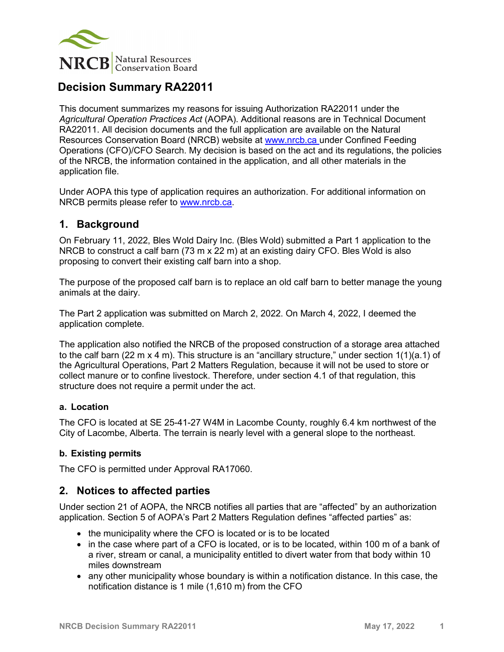

# **Decision Summary RA22011**

This document summarizes my reasons for issuing Authorization RA22011 under the *Agricultural Operation Practices Act* (AOPA). Additional reasons are in Technical Document RA22011. All decision documents and the full application are available on the Natural Resources Conservation Board (NRCB) website at [www.nrcb.ca](http://www.nrcb.ca/) under Confined Feeding Operations (CFO)/CFO Search. My decision is based on the act and its regulations, the policies of the NRCB, the information contained in the application, and all other materials in the application file.

Under AOPA this type of application requires an authorization. For additional information on NRCB permits please refer to [www.nrcb.ca.](file://NRCB-File01/nosync/Application%20Form%20Review/Decision%20Summary%20Template%2027%20April%202020/www.nrcb.ca)

### **1. Background**

On February 11, 2022, Bles Wold Dairy Inc. (Bles Wold) submitted a Part 1 application to the NRCB to construct a calf barn (73 m x 22 m) at an existing dairy CFO. Bles Wold is also proposing to convert their existing calf barn into a shop.

The purpose of the proposed calf barn is to replace an old calf barn to better manage the young animals at the dairy.

The Part 2 application was submitted on March 2, 2022. On March 4, 2022, I deemed the application complete.

The application also notified the NRCB of the proposed construction of a storage area attached to the calf barn (22 m  $\times$  4 m). This structure is an "ancillary structure," under section 1(1)(a.1) of the Agricultural Operations, Part 2 Matters Regulation, because it will not be used to store or collect manure or to confine livestock. Therefore, under section 4.1 of that regulation, this structure does not require a permit under the act.

#### **a. Location**

The CFO is located at SE 25-41-27 W4M in Lacombe County, roughly 6.4 km northwest of the City of Lacombe, Alberta. The terrain is nearly level with a general slope to the northeast.

#### **b. Existing permits**

The CFO is permitted under Approval RA17060.

#### **2. Notices to affected parties**

Under section 21 of AOPA, the NRCB notifies all parties that are "affected" by an authorization application. Section 5 of AOPA's Part 2 Matters Regulation defines "affected parties" as:

- the municipality where the CFO is located or is to be located
- in the case where part of a CFO is located, or is to be located, within 100 m of a bank of a river, stream or canal, a municipality entitled to divert water from that body within 10 miles downstream
- any other municipality whose boundary is within a notification distance. In this case, the notification distance is 1 mile (1,610 m) from the CFO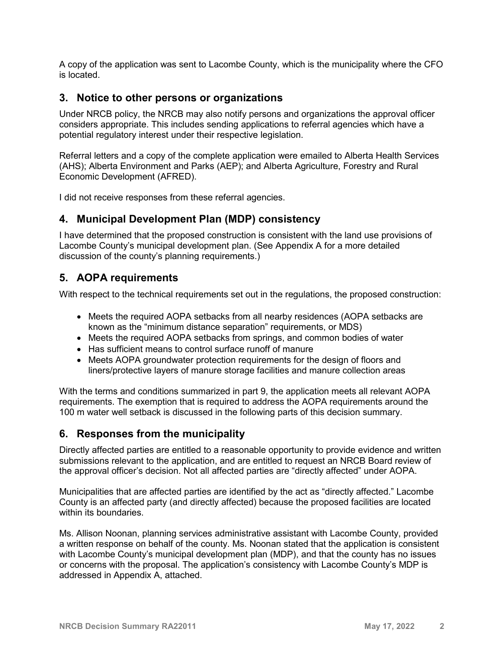A copy of the application was sent to Lacombe County, which is the municipality where the CFO is located.

#### **3. Notice to other persons or organizations**

Under NRCB policy, the NRCB may also notify persons and organizations the approval officer considers appropriate. This includes sending applications to referral agencies which have a potential regulatory interest under their respective legislation.

Referral letters and a copy of the complete application were emailed to Alberta Health Services (AHS); Alberta Environment and Parks (AEP); and Alberta Agriculture, Forestry and Rural Economic Development (AFRED).

I did not receive responses from these referral agencies.

### **4. Municipal Development Plan (MDP) consistency**

I have determined that the proposed construction is consistent with the land use provisions of Lacombe County's municipal development plan. (See Appendix A for a more detailed discussion of the county's planning requirements.)

### **5. AOPA requirements**

With respect to the technical requirements set out in the regulations, the proposed construction:

- Meets the required AOPA setbacks from all nearby residences (AOPA setbacks are known as the "minimum distance separation" requirements, or MDS)
- Meets the required AOPA setbacks from springs, and common bodies of water
- Has sufficient means to control surface runoff of manure
- Meets AOPA groundwater protection requirements for the design of floors and liners/protective layers of manure storage facilities and manure collection areas

With the terms and conditions summarized in part 9, the application meets all relevant AOPA requirements. The exemption that is required to address the AOPA requirements around the 100 m water well setback is discussed in the following parts of this decision summary.

### **6. Responses from the municipality**

Directly affected parties are entitled to a reasonable opportunity to provide evidence and written submissions relevant to the application, and are entitled to request an NRCB Board review of the approval officer's decision. Not all affected parties are "directly affected" under AOPA.

Municipalities that are affected parties are identified by the act as "directly affected." Lacombe County is an affected party (and directly affected) because the proposed facilities are located within its boundaries.

Ms. Allison Noonan, planning services administrative assistant with Lacombe County, provided a written response on behalf of the county. Ms. Noonan stated that the application is consistent with Lacombe County's municipal development plan (MDP), and that the county has no issues or concerns with the proposal. The application's consistency with Lacombe County's MDP is addressed in Appendix A, attached.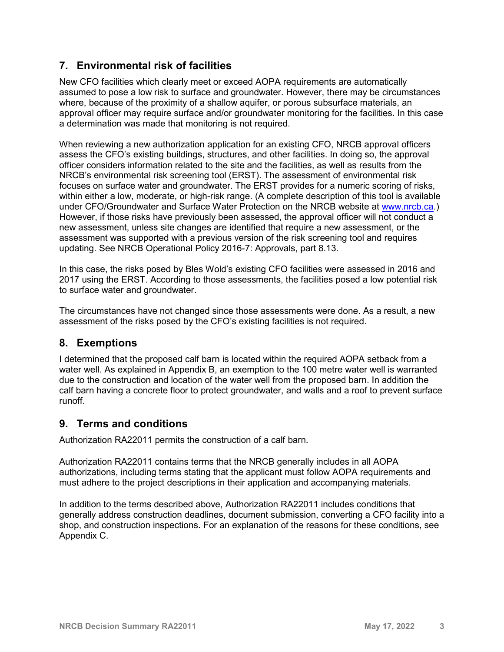# **7. Environmental risk of facilities**

New CFO facilities which clearly meet or exceed AOPA requirements are automatically assumed to pose a low risk to surface and groundwater. However, there may be circumstances where, because of the proximity of a shallow aquifer, or porous subsurface materials, an approval officer may require surface and/or groundwater monitoring for the facilities. In this case a determination was made that monitoring is not required.

When reviewing a new authorization application for an existing CFO, NRCB approval officers assess the CFO's existing buildings, structures, and other facilities. In doing so, the approval officer considers information related to the site and the facilities, as well as results from the NRCB's environmental risk screening tool (ERST). The assessment of environmental risk focuses on surface water and groundwater. The ERST provides for a numeric scoring of risks, within either a low, moderate, or high-risk range. (A complete description of this tool is available under CFO/Groundwater and Surface Water Protection on the NRCB website at [www.nrcb.ca.](http://www.nrcb.ca/)) However, if those risks have previously been assessed, the approval officer will not conduct a new assessment, unless site changes are identified that require a new assessment, or the assessment was supported with a previous version of the risk screening tool and requires updating. See NRCB Operational Policy 2016-7: Approvals, part 8.13.

In this case, the risks posed by Bles Wold's existing CFO facilities were assessed in 2016 and 2017 using the ERST. According to those assessments, the facilities posed a low potential risk to surface water and groundwater.

The circumstances have not changed since those assessments were done. As a result, a new assessment of the risks posed by the CFO's existing facilities is not required.

## **8. Exemptions**

I determined that the proposed calf barn is located within the required AOPA setback from a water well. As explained in Appendix B, an exemption to the 100 metre water well is warranted due to the construction and location of the water well from the proposed barn. In addition the calf barn having a concrete floor to protect groundwater, and walls and a roof to prevent surface runoff.

### **9. Terms and conditions**

Authorization RA22011 permits the construction of a calf barn.

Authorization RA22011 contains terms that the NRCB generally includes in all AOPA authorizations, including terms stating that the applicant must follow AOPA requirements and must adhere to the project descriptions in their application and accompanying materials.

In addition to the terms described above, Authorization RA22011 includes conditions that generally address construction deadlines, document submission, converting a CFO facility into a shop, and construction inspections. For an explanation of the reasons for these conditions, see Appendix C.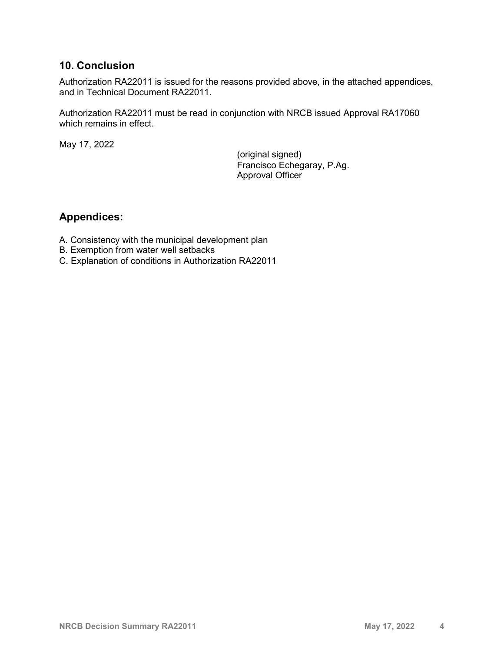### **10. Conclusion**

Authorization RA22011 is issued for the reasons provided above, in the attached appendices, and in Technical Document RA22011.

Authorization RA22011 must be read in conjunction with NRCB issued Approval RA17060 which remains in effect.

May 17, 2022

(original signed) Francisco Echegaray, P.Ag. Approval Officer

### **Appendices:**

- A. Consistency with the municipal development plan
- B. Exemption from water well setbacks
- C. Explanation of conditions in Authorization RA22011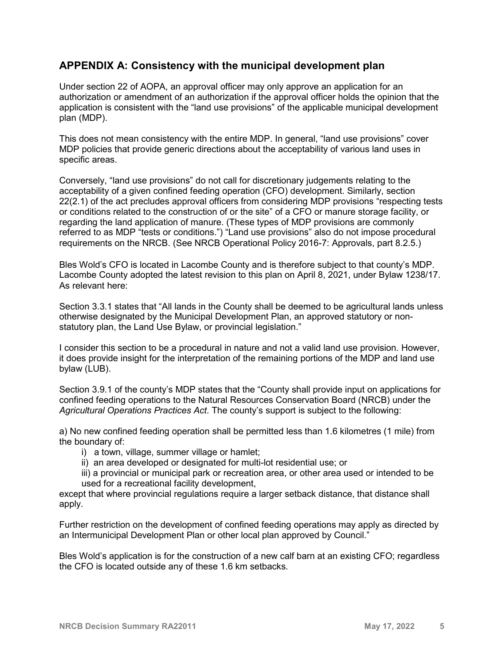### **APPENDIX A: Consistency with the municipal development plan**

Under section 22 of AOPA, an approval officer may only approve an application for an authorization or amendment of an authorization if the approval officer holds the opinion that the application is consistent with the "land use provisions" of the applicable municipal development plan (MDP).

This does not mean consistency with the entire MDP. In general, "land use provisions" cover MDP policies that provide generic directions about the acceptability of various land uses in specific areas.

Conversely, "land use provisions" do not call for discretionary judgements relating to the acceptability of a given confined feeding operation (CFO) development. Similarly, section 22(2.1) of the act precludes approval officers from considering MDP provisions "respecting tests or conditions related to the construction of or the site" of a CFO or manure storage facility, or regarding the land application of manure. (These types of MDP provisions are commonly referred to as MDP "tests or conditions.") "Land use provisions" also do not impose procedural requirements on the NRCB. (See NRCB Operational Policy 2016-7: Approvals, part 8.2.5.)

Bles Wold's CFO is located in Lacombe County and is therefore subject to that county's MDP. Lacombe County adopted the latest revision to this plan on April 8, 2021, under Bylaw 1238/17. As relevant here:

Section 3.3.1 states that "All lands in the County shall be deemed to be agricultural lands unless otherwise designated by the Municipal Development Plan, an approved statutory or nonstatutory plan, the Land Use Bylaw, or provincial legislation."

I consider this section to be a procedural in nature and not a valid land use provision. However, it does provide insight for the interpretation of the remaining portions of the MDP and land use bylaw (LUB).

Section 3.9.1 of the county's MDP states that the "County shall provide input on applications for confined feeding operations to the Natural Resources Conservation Board (NRCB) under the *Agricultural Operations Practices Act*. The county's support is subject to the following:

a) No new confined feeding operation shall be permitted less than 1.6 kilometres (1 mile) from the boundary of:

- i) a town, village, summer village or hamlet;
- ii) an area developed or designated for multi-lot residential use; or
- iii) a provincial or municipal park or recreation area, or other area used or intended to be used for a recreational facility development,

except that where provincial regulations require a larger setback distance, that distance shall apply.

Further restriction on the development of confined feeding operations may apply as directed by an Intermunicipal Development Plan or other local plan approved by Council."

Bles Wold's application is for the construction of a new calf barn at an existing CFO; regardless the CFO is located outside any of these 1.6 km setbacks.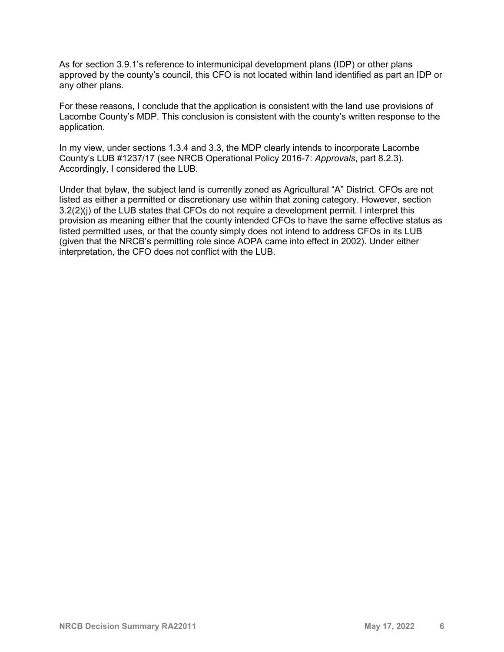As for section 3.9.1's reference to intermunicipal development plans (IDP) or other plans approved by the county's council, this CFO is not located within land identified as part an IDP or any other plans.

For these reasons, I conclude that the application is consistent with the land use provisions of Lacombe County's MDP. This conclusion is consistent with the county's written response to the application.

In my view, under sections 1.3.4 and 3.3, the MDP clearly intends to incorporate Lacombe County's LUB #1237/17 (see NRCB Operational Policy 2016-7: *Approvals*, part 8.2.3). Accordingly, I considered the LUB.

Under that bylaw, the subject land is currently zoned as Agricultural "A" District. CFOs are not listed as either a permitted or discretionary use within that zoning category. However, section 3.2(2)(j) of the LUB states that CFOs do not require a development permit. I interpret this provision as meaning either that the county intended CFOs to have the same effective status as listed permitted uses, or that the county simply does not intend to address CFOs in its LUB (given that the NRCB's permitting role since AOPA came into effect in 2002). Under either interpretation, the CFO does not conflict with the LUB.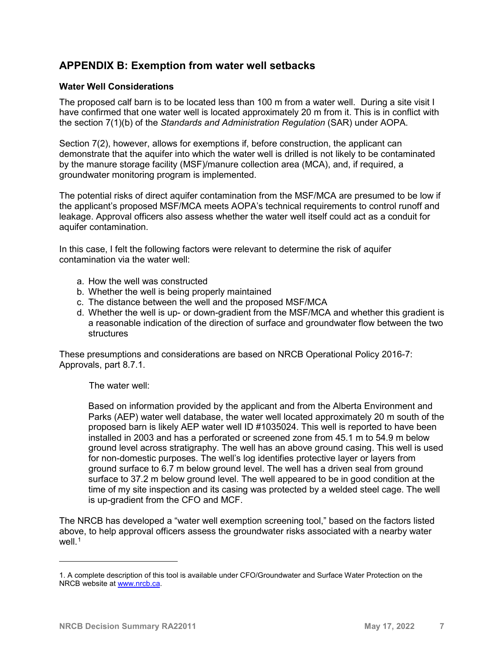### **APPENDIX B: Exemption from water well setbacks**

#### **Water Well Considerations**

The proposed calf barn is to be located less than 100 m from a water well. During a site visit I have confirmed that one water well is located approximately 20 m from it. This is in conflict with the section 7(1)(b) of the *Standards and Administration Regulation* (SAR) under AOPA.

Section 7(2), however, allows for exemptions if, before construction, the applicant can demonstrate that the aquifer into which the water well is drilled is not likely to be contaminated by the manure storage facility (MSF)/manure collection area (MCA), and, if required, a groundwater monitoring program is implemented.

The potential risks of direct aquifer contamination from the MSF/MCA are presumed to be low if the applicant's proposed MSF/MCA meets AOPA's technical requirements to control runoff and leakage. Approval officers also assess whether the water well itself could act as a conduit for aquifer contamination.

In this case, I felt the following factors were relevant to determine the risk of aquifer contamination via the water well:

- a. How the well was constructed
- b. Whether the well is being properly maintained
- c. The distance between the well and the proposed MSF/MCA
- d. Whether the well is up- or down-gradient from the MSF/MCA and whether this gradient is a reasonable indication of the direction of surface and groundwater flow between the two **structures**

These presumptions and considerations are based on NRCB Operational Policy 2016-7: Approvals, part 8.7.1.

The water well:

Based on information provided by the applicant and from the Alberta Environment and Parks (AEP) water well database, the water well located approximately 20 m south of the proposed barn is likely AEP water well ID #1035024. This well is reported to have been installed in 2003 and has a perforated or screened zone from 45.1 m to 54.9 m below ground level across stratigraphy. The well has an above ground casing. This well is used for non-domestic purposes. The well's log identifies protective layer or layers from ground surface to 6.7 m below ground level. The well has a driven seal from ground surface to 37.2 m below ground level. The well appeared to be in good condition at the time of my site inspection and its casing was protected by a welded steel cage. The well is up-gradient from the CFO and MCF.

The NRCB has developed a "water well exemption screening tool," based on the factors listed above, to help approval officers assess the groundwater risks associated with a nearby water well $1$ 

i<br>I

<span id="page-6-0"></span><sup>1.</sup> A complete description of this tool is available under CFO/Groundwater and Surface Water Protection on the NRCB website at [www.nrcb.ca.](http://www.nrcb.ca/)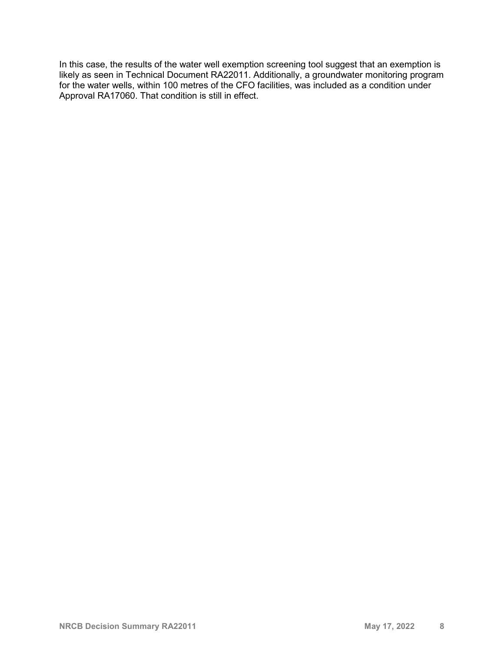In this case, the results of the water well exemption screening tool suggest that an exemption is likely as seen in Technical Document RA22011. Additionally, a groundwater monitoring program for the water wells, within 100 metres of the CFO facilities, was included as a condition under Approval RA17060. That condition is still in effect.